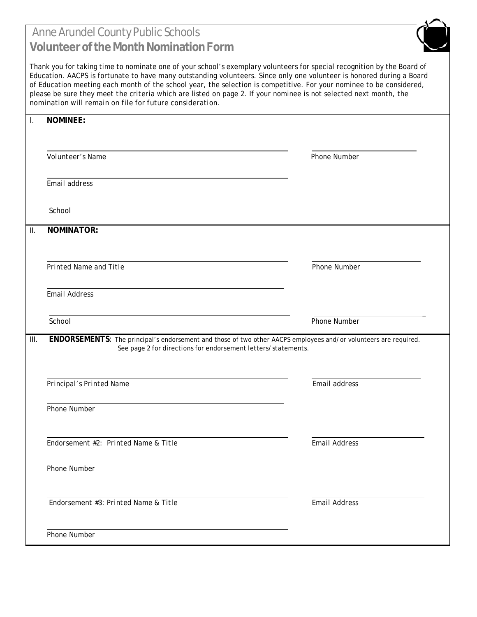# Anne Arundel County Public Schools **VolunteeroftheMonthNominationForm**



Thank you for taking time to nominate one of your school's exemplary volunteers for special recognition by the Board of Education. AACPS is fortunate to have many outstanding volunteers. Since only one volunteer is honored during a Board of Education meeting each month of the school year, the selection is competitive. For your nominee to be considered, please be sure *they meet the criteria* which are listed on page 2. If your nominee is not selected next month, the nomination will remain on file for future consideration.

| Volunteer's Name                                                                                                         | <b>Phone Number</b>  |
|--------------------------------------------------------------------------------------------------------------------------|----------------------|
| Email address                                                                                                            |                      |
| School                                                                                                                   |                      |
| <b>NOMINATOR:</b><br>$\mathbf{II}$ .                                                                                     |                      |
| Printed Name and Title                                                                                                   | <b>Phone Number</b>  |
| <b>Email Address</b>                                                                                                     |                      |
| School                                                                                                                   | Phone Number         |
| ENDORSEMENTS: The principal's endorsement and those of two other AACPS employees and/or volunteers are required.<br>III. |                      |
| See page 2 for directions for endorsement letters/statements.<br>Principal's Printed Name                                | Email address        |
| Phone Number                                                                                                             |                      |
| Endorsement #2: Printed Name & Title                                                                                     | <b>Email Address</b> |
| Phone Number                                                                                                             |                      |
| Endorsement #3: Printed Name & Title                                                                                     | <b>Email Address</b> |